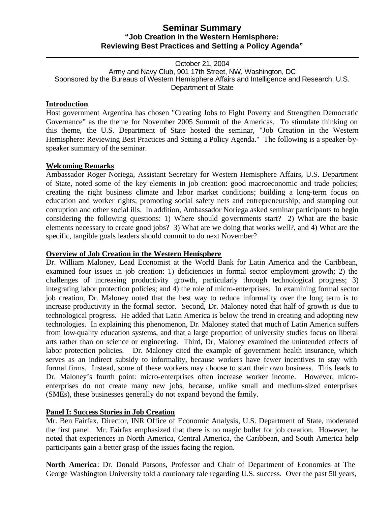# **Seminar Summary "Job Creation in the Western Hemisphere: Reviewing Best Practices and Setting a Policy Agenda"**

#### October 21, 2004 Army and Navy Club, 901 17th Street, NW, Washington, DC Sponsored by the Bureaus of Western Hemisphere Affairs and Intelligence and Research, U.S. Department of State

### **Introduction**

Host government Argentina has chosen "Creating Jobs to Fight Poverty and Strengthen Democratic Governance" as the theme for November 2005 Summit of the Americas. To stimulate thinking on this theme, the U.S. Department of State hosted the seminar, "Job Creation in the Western Hemisphere: Reviewing Best Practices and Setting a Policy Agenda." The following is a speaker-byspeaker summary of the seminar.

### **Welcoming Remarks**

Ambassador Roger Noriega, Assistant Secretary for Western Hemisphere Affairs, U.S. Department of State, noted some of the key elements in job creation: good macroeconomic and trade policies; creating the right business climate and labor market conditions; building a long-term focus on education and worker rights; promoting social safety nets and entrepreneurship; and stamping out corruption and other social ills. In addition, Ambassador Noriega asked seminar participants to begin considering the following questions: 1) Where should governments start? 2) What are the basic elements necessary to create good jobs? 3) What are we doing that works well?, and 4) What are the specific, tangible goals leaders should commit to do next November?

### **Overview of Job Creation in the Western Hemisphere**

Dr. William Maloney, Lead Economist at the World Bank for Latin America and the Caribbean, examined four issues in job creation: 1) deficiencies in formal sector employment growth; 2) the challenges of increasing productivity growth, particularly through technological progress; 3) integrating labor protection policies; and 4) the role of micro-enterprises. In examining formal sector job creation, Dr. Maloney noted that the best way to reduce informality over the long term is to increase productivity in the formal sector. Second, Dr. Maloney noted that half of growth is due to technological progress. He added that Latin America is below the trend in creating and adopting new technologies. In explaining this phenomenon, Dr. Maloney stated that much of Latin America suffers from low-quality education systems, and that a large proportion of university studies focus on liberal arts rather than on science or engineering. Third, Dr, Maloney examined the unintended effects of labor protection policies. Dr. Maloney cited the example of government health insurance, which serves as an indirect subsidy to informality, because workers have fewer incentives to stay with formal firms. Instead, some of these workers may choose to start their own business. This leads to Dr. Maloney's fourth point: micro-enterprises often increase worker income. However, microenterprises do not create many new jobs, because, unlike small and medium-sized enterprises (SMEs), these businesses generally do not expand beyond the family.

# **Panel I: Success Stories in Job Creation**

Mr. Ben Fairfax, Director, INR Office of Economic Analysis, U.S. Department of State, moderated the first panel. Mr. Fairfax emphasized that there is no magic bullet for job creation. However, he noted that experiences in North America, Central America, the Caribbean, and South America help participants gain a better grasp of the issues facing the region.

**North America**: Dr. Donald Parsons, Professor and Chair of Department of Economics at The George Washington University told a cautionary tale regarding U.S. success. Over the past 50 years,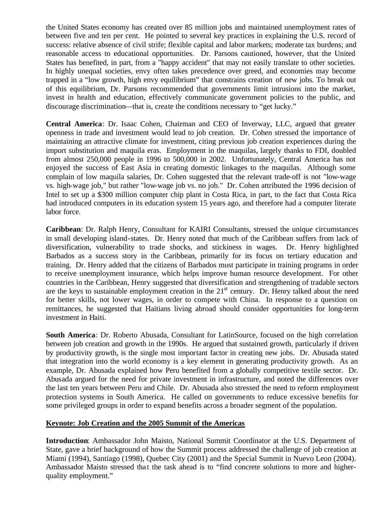the United States economy has created over 85 million jobs and maintained unemployment rates of between five and ten per cent. He pointed to several key practices in explaining the U.S. record of success: relative absence of civil strife; flexible capital and labor markets; moderate tax burdens; and reasonable access to educational opportunities. Dr. Parsons cautioned, however, that the United States has benefited, in part, from a "happy accident" that may not easily translate to other societies. In highly unequal societies, envy often takes precedence over greed, and economies may become trapped in a "low growth, high envy equilibrium" that constrains creation of new jobs. To break out of this equilibrium, Dr. Parsons recommended that governments limit intrusions into the market, invest in health and education, effectively communicate government policies to the public, and discourage discrimination—that is, create the conditions necessary to "get lucky."

**Central America**: Dr. Isaac Cohen, Chairman and CEO of Inverway, LLC, argued that greater openness in trade and investment would lead to job creation. Dr. Cohen stressed the importance of maintaining an attractive climate for investment, citing previous job creation experiences during the import substitution and maquila eras. Employment in the maquilas, largely thanks to FDI, doubled from almost 250,000 people in 1996 to 500,000 in 2002. Unfortunately, Central America has not enjoyed the success of East Asia in creating domestic linkages to the maquilas. Although some complain of low maquila salaries, Dr. Cohen suggested that the relevant trade-off is not "low-wage vs. high-wage job," but rather "low-wage job vs. no job." Dr. Cohen attributed the 1996 decision of Intel to set up a \$300 million computer chip plant in Costa Rica, in part, to the fact that Costa Rica had introduced computers in its education system 15 years ago, and therefore had a computer literate labor force.

**Caribbean**: Dr. Ralph Henry, Consultant for KAIRI Consultants, stressed the unique circumstances in small developing island-states. Dr. Henry noted that much of the Caribbean suffers from lack of diversification, vulnerability to trade shocks, and stickiness in wages. Dr. Henry highlighted Barbados as a success story in the Caribbean, primarily for its focus on tertiary education and training. Dr. Henry added that the citizens of Barbados must participate in training programs in order to receive unemployment insurance, which helps improve human resource development. For other countries in the Caribbean, Henry suggested that diversification and strengthening of tradable sectors are the keys to sustainable employment creation in the  $21<sup>st</sup>$  century. Dr. Henry talked about the need for better skills, not lower wages, in order to compete with China. In response to a question on remittances, he suggested that Haitians living abroad should consider opportunities for long-term investment in Haiti.

**South America**: Dr. Roberto Abusada, Consultant for LatinSource, focused on the high correlation between job creation and growth in the 1990s. He argued that sustained growth, particularly if driven by productivity growth, is the single most important factor in creating new jobs. Dr. Abusada stated that integration into the world economy is a key element in generating productivity growth. As an example, Dr. Abusada explained how Peru benefited from a globally competitive textile sector. Dr. Abusada argued for the need for private investment in infrastructure, and noted the differences over the last ten years between Peru and Chile. Dr. Abusada also stressed the need to reform employment protection systems in South America. He called on governments to reduce excessive benefits for some privileged groups in order to expand benefits across a broader segment of the population.

### **Keynote: Job Creation and the 2005 Summit of the Americas**

**Introduction**: Ambassador John Maisto, National Summit Coordinator at the U.S. Department of State, gave a brief background of how the Summit process addressed the challenge of job creation at Miami (1994), Santiago (1998), Quebec City (2001) and the Special Summit in Nuevo Leon (2004). Ambassador Maisto stressed that the task ahead is to "find concrete solutions to more and higherquality employment."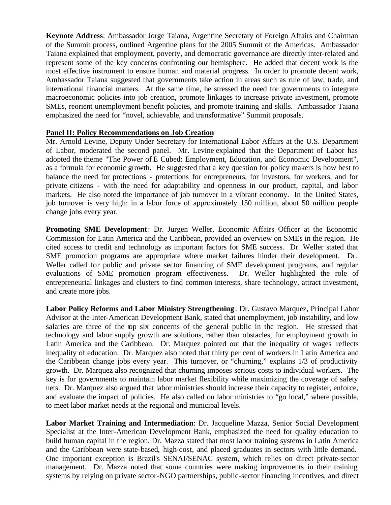**Keynote Address**: Ambassador Jorge Taiana, Argentine Secretary of Foreign Affairs and Chairman of the Summit process, outlined Argentine plans for the 2005 Summit of the Americas. Ambassador Taiana explained that employment, poverty, and democratic governance are directly inter-related and represent some of the key concerns confronting our hemisphere. He added that decent work is the most effective instrument to ensure human and material progress. In order to promote decent work, Ambassador Taiana suggested that governments take action in areas such as rule of law, trade, and international financial matters. At the same time, he stressed the need for governments to integrate macroeconomic policies into job creation, promote linkages to increase private investment, promote SMEs, reorient unemployment benefit policies, and promote training and skills. Ambassador Taiana emphasized the need for "novel, achievable, and transformative" Summit proposals.

### **Panel II: Policy Recommendations on Job Creation**

Mr. Arnold Levine, Deputy Under Secretary for International Labor Affairs at the U.S. Department of Labor, moderated the second panel. Mr. Levine explained that the Department of Labor has adopted the theme "The Power of E Cubed: Employment, Education, and Economic Development", as a formula for economic growth. He suggested that a key question for policy makers is how best to balance the need for protections - protections for entrepreneurs, for investors, for workers, and for private citizens - with the need for adaptability and openness in our product, capital, and labor markets. He also noted the importance of job turnover in a vibrant economy. In the United States, job turnover is very high: in a labor force of approximately 150 million, about 50 million people change jobs every year.

**Promoting SME Development**: Dr. Jurgen Weller, Economic Affairs Officer at the Economic Commission for Latin America and the Caribbean, provided an overview on SMEs in the region. He cited access to credit and technology as important factors for SME success. Dr. Weller stated that SME promotion programs are appropriate where market failures hinder their development. Dr. Weller called for public and private sector financing of SME development programs, and regular evaluations of SME promotion program effectiveness. Dr. Weller highlighted the role of entrepreneurial linkages and clusters to find common interests, share technology, attract investment, and create more jobs.

**Labor Policy Reforms and Labor Ministry Strengthening**: Dr. Gustavo Marquez, Principal Labor Advisor at the Inter-American Development Bank, stated that unemployment, job instability, and low salaries are three of the top six concerns of the general public in the region. He stressed that technology and labor supply growth are solutions, rather than obstacles, for employment growth in Latin America and the Caribbean. Dr. Marquez pointed out that the inequality of wages reflects inequality of education. Dr. Marquez also noted that thirty per cent of workers in Latin America and the Caribbean change jobs every year. This turnover, or "churning," explains 1/3 of productivity growth. Dr. Marquez also recognized that churning imposes serious costs to individual workers. The key is for governments to maintain labor market flexibility while maximizing the coverage of safety nets. Dr. Marquez also argued that labor ministries should increase their capacity to register, enforce, and evaluate the impact of policies. He also called on labor ministries to "go local," where possible, to meet labor market needs at the regional and municipal levels.

**Labor Market Training and Intermediation**: Dr. Jacqueline Mazza, Senior Social Development Specialist at the Inter-American Development Bank, emphasized the need for quality education to build human capital in the region. Dr. Mazza stated that most labor training systems in Latin America and the Caribbean were state-based, high-cost, and placed graduates in sectors with little demand. One important exception is Brazil's SENAI/SENAC system, which relies on direct private-sector management. Dr. Mazza noted that some countries were making improvements in their training systems by relying on private sector-NGO partnerships, public-sector financing incentives, and direct